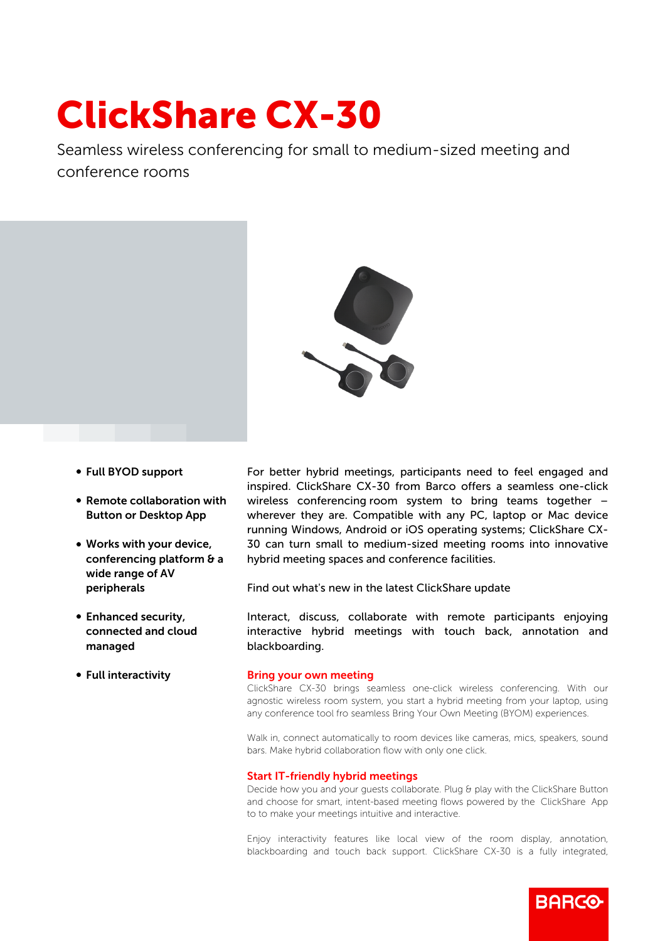# ClickShare CX-30

Seamless wireless conferencing for small to medium-sized meeting and conference rooms



- b Full BYOD support
- $\bullet$  Remote collaboration with Button or Desktop App
- Works with your device, conferencing platform & a wide range of AV peripherals
- Enhanced security, connected and cloud managed
- Full interactivity

For better hybrid meetings, participants need to feel engaged and inspired. ClickShare CX-30 from Barco offers a seamless one-click wireless conferencing room system to bring teams together – wherever they are. Compatible with any PC, laptop or Mac device running Windows, Android or iOS operating systems; ClickShare CX-30 can turn small to medium-sized meeting rooms into innovative hybrid meeting spaces and conference facilities.

Find out what's new in the latest ClickShare update

Interact, discuss, collaborate with remote participants enjoying interactive hybrid meetings with touch back, annotation and blackboarding.

#### Bring your own meeting

ClickShare CX-30 brings seamless one-click wireless conferencing. With our agnostic wireless room system, you start a hybrid meeting from your laptop, using any conference tool fro seamless Bring Your Own Meeting (BYOM) experiences.

Walk in, connect automatically to room devices like cameras, mics, speakers, sound bars. Make hybrid collaboration flow with only one click.

## Start IT-friendly hybrid meetings

Decide how you and your guests collaborate. Plug & play with the ClickShare Button and choose for smart, intent-based meeting flows powered by the ClickShare App to to make your meetings intuitive and interactive.

Enjoy interactivity features like local view of the room display, annotation, blackboarding and touch back support. ClickShare CX-30 is a fully integrated,

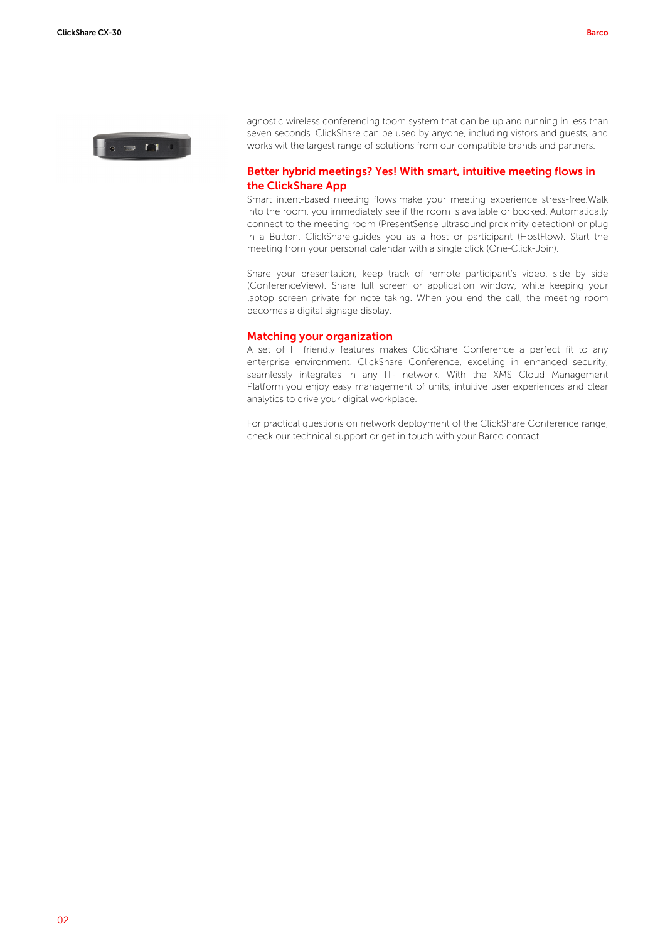

agnostic wireless conferencing toom system that can be up and running in less than seven seconds. ClickShare can be used by anyone, including vistors and guests, and works wit the largest range of solutions from our compatible brands and partners.

# Better hybrid meetings? Yes! With smart, intuitive meeting flows in the ClickShare App

Smart intent-based meeting flows make your meeting experience stress-free.Walk into the room, you immediately see if the room is available or booked. Automatically connect to the meeting room (PresentSense ultrasound proximity detection) or plug in a Button. ClickShare guides you as a host or participant (HostFlow). Start the meeting from your personal calendar with a single click (One-Click-Join).

Share your presentation, keep track of remote participant's video, side by side (ConferenceView). Share full screen or application window, while keeping your laptop screen private for note taking. When you end the call, the meeting room becomes a digital signage display.

## Matching your organization

A set of IT friendly features makes ClickShare Conference a perfect fit to any enterprise environment. ClickShare Conference, excelling in enhanced security, seamlessly integrates in any IT- network. With the XMS Cloud Management Platform you enjoy easy management of units, intuitive user experiences and clear analytics to drive your digital workplace.

For practical questions on network deployment of the ClickShare Conference range, check our technical support or get in touch with your Barco contact